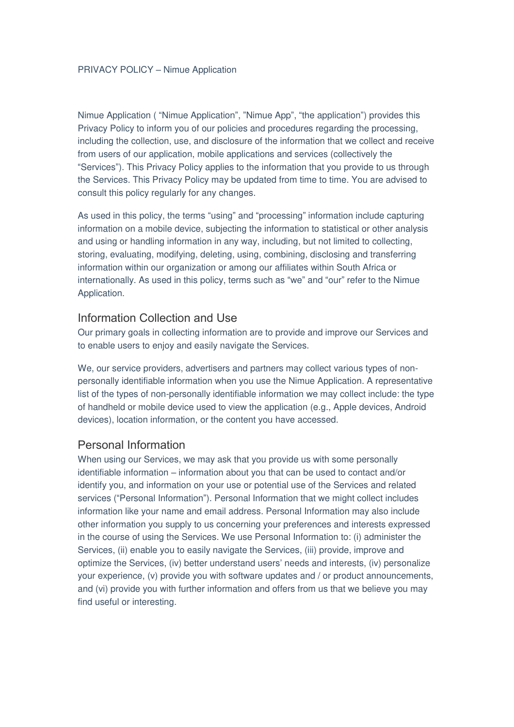Nimue Application ( "Nimue Application", "Nimue App", "the application") provides this Privacy Policy to inform you of our policies and procedures regarding the processing, including the collection, use, and disclosure of the information that we collect and receive from users of our application, mobile applications and services (collectively the "Services"). This Privacy Policy applies to the information that you provide to us through the Services. This Privacy Policy may be updated from time to time. You are advised to consult this policy regularly for any changes.

As used in this policy, the terms "using" and "processing" information include capturing information on a mobile device, subjecting the information to statistical or other analysis and using or handling information in any way, including, but not limited to collecting, storing, evaluating, modifying, deleting, using, combining, disclosing and transferring information within our organization or among our affiliates within South Africa or internationally. As used in this policy, terms such as "we" and "our" refer to the Nimue Application.

#### Information Collection and Use

Our primary goals in collecting information are to provide and improve our Services and to enable users to enjoy and easily navigate the Services.

We, our service providers, advertisers and partners may collect various types of nonpersonally identifiable information when you use the Nimue Application. A representative list of the types of non-personally identifiable information we may collect include: the type of handheld or mobile device used to view the application (e.g., Apple devices, Android devices), location information, or the content you have accessed.

#### Personal Information

When using our Services, we may ask that you provide us with some personally identifiable information – information about you that can be used to contact and/or identify you, and information on your use or potential use of the Services and related services ("Personal Information"). Personal Information that we might collect includes information like your name and email address. Personal Information may also include other information you supply to us concerning your preferences and interests expressed in the course of using the Services. We use Personal Information to: (i) administer the Services, (ii) enable you to easily navigate the Services, (iii) provide, improve and optimize the Services, (iv) better understand users' needs and interests, (iv) personalize your experience, (v) provide you with software updates and / or product announcements, and (vi) provide you with further information and offers from us that we believe you may find useful or interesting.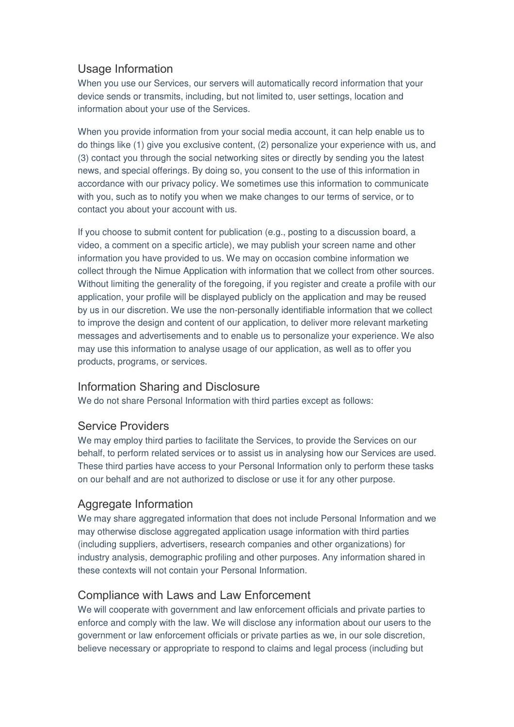## Usage Information

When you use our Services, our servers will automatically record information that your device sends or transmits, including, but not limited to, user settings, location and information about your use of the Services.

When you provide information from your social media account, it can help enable us to do things like (1) give you exclusive content, (2) personalize your experience with us, and (3) contact you through the social networking sites or directly by sending you the latest news, and special offerings. By doing so, you consent to the use of this information in accordance with our privacy policy. We sometimes use this information to communicate with you, such as to notify you when we make changes to our terms of service, or to contact you about your account with us.

If you choose to submit content for publication (e.g., posting to a discussion board, a video, a comment on a specific article), we may publish your screen name and other information you have provided to us. We may on occasion combine information we collect through the Nimue Application with information that we collect from other sources. Without limiting the generality of the foregoing, if you register and create a profile with our application, your profile will be displayed publicly on the application and may be reused by us in our discretion. We use the non-personally identifiable information that we collect to improve the design and content of our application, to deliver more relevant marketing messages and advertisements and to enable us to personalize your experience. We also may use this information to analyse usage of our application, as well as to offer you products, programs, or services.

## Information Sharing and Disclosure

We do not share Personal Information with third parties except as follows:

#### Service Providers

We may employ third parties to facilitate the Services, to provide the Services on our behalf, to perform related services or to assist us in analysing how our Services are used. These third parties have access to your Personal Information only to perform these tasks on our behalf and are not authorized to disclose or use it for any other purpose.

## Aggregate Information

We may share aggregated information that does not include Personal Information and we may otherwise disclose aggregated application usage information with third parties (including suppliers, advertisers, research companies and other organizations) for industry analysis, demographic profiling and other purposes. Any information shared in these contexts will not contain your Personal Information.

#### Compliance with Laws and Law Enforcement

We will cooperate with government and law enforcement officials and private parties to enforce and comply with the law. We will disclose any information about our users to the government or law enforcement officials or private parties as we, in our sole discretion, believe necessary or appropriate to respond to claims and legal process (including but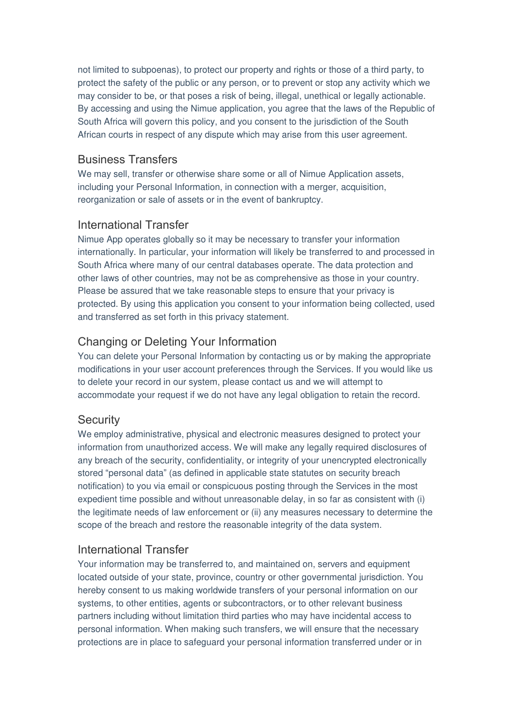not limited to subpoenas), to protect our property and rights or those of a third party, to protect the safety of the public or any person, or to prevent or stop any activity which we may consider to be, or that poses a risk of being, illegal, unethical or legally actionable. By accessing and using the Nimue application, you agree that the laws of the Republic of South Africa will govern this policy, and you consent to the jurisdiction of the South African courts in respect of any dispute which may arise from this user agreement.

#### Business Transfers

We may sell, transfer or otherwise share some or all of Nimue Application assets, including your Personal Information, in connection with a merger, acquisition, reorganization or sale of assets or in the event of bankruptcy.

## International Transfer

Nimue App operates globally so it may be necessary to transfer your information internationally. In particular, your information will likely be transferred to and processed in South Africa where many of our central databases operate. The data protection and other laws of other countries, may not be as comprehensive as those in your country. Please be assured that we take reasonable steps to ensure that your privacy is protected. By using this application you consent to your information being collected, used and transferred as set forth in this privacy statement.

# Changing or Deleting Your Information

You can delete your Personal Information by contacting us or by making the appropriate modifications in your user account preferences through the Services. If you would like us to delete your record in our system, please contact us and we will attempt to accommodate your request if we do not have any legal obligation to retain the record.

## **Security**

We employ administrative, physical and electronic measures designed to protect your information from unauthorized access. We will make any legally required disclosures of any breach of the security, confidentiality, or integrity of your unencrypted electronically stored "personal data" (as defined in applicable state statutes on security breach notification) to you via email or conspicuous posting through the Services in the most expedient time possible and without unreasonable delay, in so far as consistent with (i) the legitimate needs of law enforcement or (ii) any measures necessary to determine the scope of the breach and restore the reasonable integrity of the data system.

## International Transfer

Your information may be transferred to, and maintained on, servers and equipment located outside of your state, province, country or other governmental jurisdiction. You hereby consent to us making worldwide transfers of your personal information on our systems, to other entities, agents or subcontractors, or to other relevant business partners including without limitation third parties who may have incidental access to personal information. When making such transfers, we will ensure that the necessary protections are in place to safeguard your personal information transferred under or in